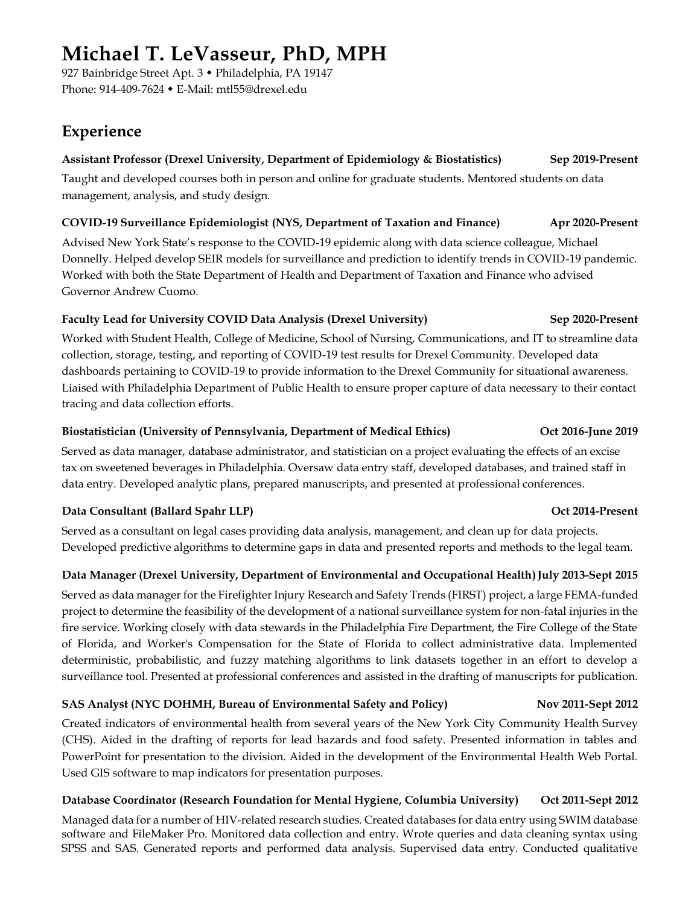# **Michael T. LeVasseur, PhD, MPH**

927 Bainbridge Street Apt. 3 · Philadelphia, PA 19147 Phone: 914-409-7624 E-Mail: mtl55@drexel.edu

## **Experience**

### **Assistant Professor (Drexel University, Department of Epidemiology & Biostatistics) Sep 2019-Present**

Taught and developed courses both in person and online for graduate students. Mentored students on data management, analysis, and study design.

#### **COVID-19 Surveillance Epidemiologist (NYS, Department of Taxation and Finance) Apr 2020-Present**

Advised New York State's response to the COVID-19 epidemic along with data science colleague, Michael Donnelly. Helped develop SEIR models for surveillance and prediction to identify trends in COVID-19 pandemic. Worked with both the State Department of Health and Department of Taxation and Finance who advised Governor Andrew Cuomo.

#### **Faculty Lead for University COVID Data Analysis (Drexel University) Sep 2020-Present**

Worked with Student Health, College of Medicine, School of Nursing, Communications, and IT to streamline data collection, storage, testing, and reporting of COVID-19 test results for Drexel Community. Developed data dashboards pertaining to COVID-19 to provide information to the Drexel Community for situational awareness. Liaised with Philadelphia Department of Public Health to ensure proper capture of data necessary to their contact tracing and data collection efforts.

#### **Biostatistician (University of Pennsylvania, Department of Medical Ethics) Oct 2016-June 2019**

Served as data manager, database administrator, and statistician on a project evaluating the effects of an excise tax on sweetened beverages in Philadelphia. Oversaw data entry staff, developed databases, and trained staff in data entry. Developed analytic plans, prepared manuscripts, and presented at professional conferences.

### **Data Consultant (Ballard Spahr LLP) Oct 2014-Present**

Served as a consultant on legal cases providing data analysis, management, and clean up for data projects. Developed predictive algorithms to determine gaps in data and presented reports and methods to the legal team.

### **Data Manager (Drexel University, Department of Environmental and Occupational Health)July 2013-Sept 2015**

Served as data manager for the Firefighter Injury Research and Safety Trends (FIRST) project, a large FEMA-funded project to determine the feasibility of the development of a national surveillance system for non-fatal injuries in the fire service. Working closely with data stewards in the Philadelphia Fire Department, the Fire College of the State of Florida, and Worker's Compensation for the State of Florida to collect administrative data. Implemented deterministic, probabilistic, and fuzzy matching algorithms to link datasets together in an effort to develop a surveillance tool. Presented at professional conferences and assisted in the drafting of manuscripts for publication.

### **SAS Analyst (NYC DOHMH, Bureau of Environmental Safety and Policy) Nov 2011-Sept 2012**

Created indicators of environmental health from several years of the New York City Community Health Survey (CHS). Aided in the drafting of reports for lead hazards and food safety. Presented information in tables and PowerPoint for presentation to the division. Aided in the development of the Environmental Health Web Portal. Used GIS software to map indicators for presentation purposes.

### **Database Coordinator (Research Foundation for Mental Hygiene, Columbia University) Oct 2011-Sept 2012**

Managed data for a number of HIV-related research studies. Created databases for data entry using SWIM database software and FileMaker Pro. Monitored data collection and entry. Wrote queries and data cleaning syntax using SPSS and SAS. Generated reports and performed data analysis. Supervised data entry. Conducted qualitative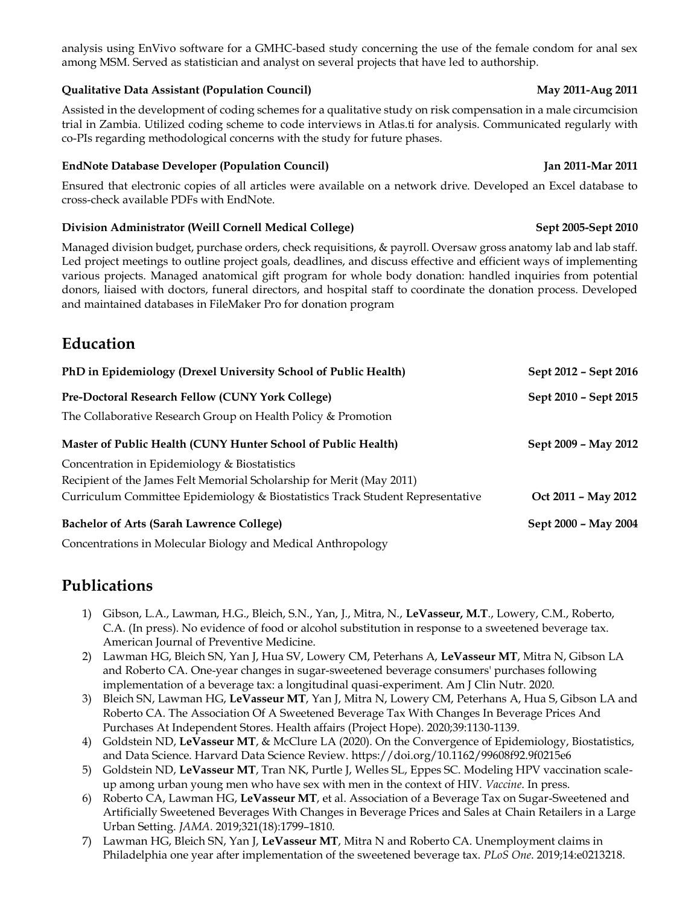### **Qualitative Data Assistant (Population Council) May 2011-Aug 2011**

Assisted in the development of coding schemes for a qualitative study on risk compensation in a male circumcision trial in Zambia. Utilized coding scheme to code interviews in Atlas.ti for analysis. Communicated regularly with co-PIs regarding methodological concerns with the study for future phases.

#### **EndNote Database Developer (Population Council) Jan 2011-Mar 2011**

Ensured that electronic copies of all articles were available on a network drive. Developed an Excel database to cross-check available PDFs with EndNote.

### **Division Administrator (Weill Cornell Medical College) Sept 2005-Sept 2010**

Managed division budget, purchase orders, check requisitions, & payroll. Oversaw gross anatomy lab and lab staff. Led project meetings to outline project goals, deadlines, and discuss effective and efficient ways of implementing various projects. Managed anatomical gift program for whole body donation: handled inquiries from potential donors, liaised with doctors, funeral directors, and hospital staff to coordinate the donation process. Developed and maintained databases in FileMaker Pro for donation program

## **Education**

| PhD in Epidemiology (Drexel University School of Public Health)                | Sept 2012 - Sept 2016 |
|--------------------------------------------------------------------------------|-----------------------|
| Pre-Doctoral Research Fellow (CUNY York College)                               | Sept 2010 - Sept 2015 |
| The Collaborative Research Group on Health Policy & Promotion                  |                       |
| Master of Public Health (CUNY Hunter School of Public Health)                  | Sept 2009 - May 2012  |
| Concentration in Epidemiology & Biostatistics                                  |                       |
| Recipient of the James Felt Memorial Scholarship for Merit (May 2011)          |                       |
| Curriculum Committee Epidemiology & Biostatistics Track Student Representative | Oct 2011 - May 2012   |
| <b>Bachelor of Arts (Sarah Lawrence College)</b>                               | Sept 2000 - May 2004  |
|                                                                                |                       |

Concentrations in Molecular Biology and Medical Anthropology

## **Publications**

- 1) Gibson, L.A., Lawman, H.G., Bleich, S.N., Yan, J., Mitra, N., **LeVasseur, M.T**., Lowery, C.M., Roberto, C.A. (In press). No evidence of food or alcohol substitution in response to a sweetened beverage tax. American Journal of Preventive Medicine.
- 2) Lawman HG, Bleich SN, Yan J, Hua SV, Lowery CM, Peterhans A, **LeVasseur MT**, Mitra N, Gibson LA and Roberto CA. One-year changes in sugar-sweetened beverage consumers' purchases following implementation of a beverage tax: a longitudinal quasi-experiment. Am J Clin Nutr. 2020.
- 3) Bleich SN, Lawman HG, **LeVasseur MT**, Yan J, Mitra N, Lowery CM, Peterhans A, Hua S, Gibson LA and Roberto CA. The Association Of A Sweetened Beverage Tax With Changes In Beverage Prices And Purchases At Independent Stores. Health affairs (Project Hope). 2020;39:1130-1139.
- 4) Goldstein ND, **LeVasseur MT**, & McClure LA (2020). On the Convergence of Epidemiology, Biostatistics, and Data Science. Harvard Data Science Review. https://doi.org/10.1162/99608f92.9f0215e6
- 5) Goldstein ND, **LeVasseur MT**, Tran NK, Purtle J, Welles SL, Eppes SC. Modeling HPV vaccination scaleup among urban young men who have sex with men in the context of HIV. *Vaccine*. In press.
- 6) Roberto CA, Lawman HG, **LeVasseur MT**, et al. Association of a Beverage Tax on Sugar-Sweetened and Artificially Sweetened Beverages With Changes in Beverage Prices and Sales at Chain Retailers in a Large Urban Setting. *JAMA*. 2019;321(18):1799–1810.
- 7) Lawman HG, Bleich SN, Yan J, **LeVasseur MT**, Mitra N and Roberto CA. Unemployment claims in Philadelphia one year after implementation of the sweetened beverage tax. *PLoS One*. 2019;14:e0213218.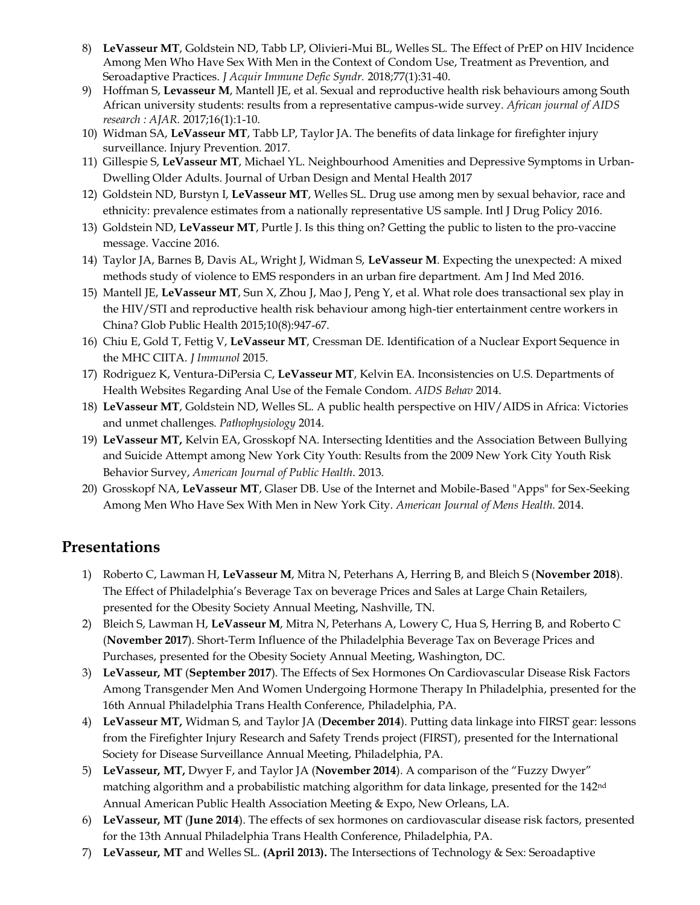- 8) **LeVasseur MT**, Goldstein ND, Tabb LP, Olivieri-Mui BL, Welles SL. The Effect of PrEP on HIV Incidence Among Men Who Have Sex With Men in the Context of Condom Use, Treatment as Prevention, and Seroadaptive Practices. *J Acquir Immune Defic Syndr.* 2018;77(1):31-40.
- 9) Hoffman S, **Levasseur M**, Mantell JE, et al. Sexual and reproductive health risk behaviours among South African university students: results from a representative campus-wide survey. *African journal of AIDS research : AJAR.* 2017;16(1):1-10.
- 10) Widman SA, **LeVasseur MT**, Tabb LP, Taylor JA. The benefits of data linkage for firefighter injury surveillance. Injury Prevention. 2017.
- 11) Gillespie S, **LeVasseur MT**, Michael YL. Neighbourhood Amenities and Depressive Symptoms in Urban-Dwelling Older Adults. Journal of Urban Design and Mental Health 2017
- 12) Goldstein ND, Burstyn I, **LeVasseur MT**, Welles SL. Drug use among men by sexual behavior, race and ethnicity: prevalence estimates from a nationally representative US sample. Intl J Drug Policy 2016.
- 13) Goldstein ND, **LeVasseur MT**, Purtle J. Is this thing on? Getting the public to listen to the pro-vaccine message. Vaccine 2016.
- 14) Taylor JA, Barnes B, Davis AL, Wright J, Widman S, **LeVasseur M**. Expecting the unexpected: A mixed methods study of violence to EMS responders in an urban fire department. Am J Ind Med 2016.
- 15) Mantell JE, **LeVasseur MT**, Sun X, Zhou J, Mao J, Peng Y, et al. What role does transactional sex play in the HIV/STI and reproductive health risk behaviour among high-tier entertainment centre workers in China? Glob Public Health 2015;10(8):947-67.
- 16) Chiu E, Gold T, Fettig V, **LeVasseur MT**, Cressman DE. Identification of a Nuclear Export Sequence in the MHC CIITA. *J Immunol* 2015.
- 17) Rodriguez K, Ventura-DiPersia C, **LeVasseur MT**, Kelvin EA. Inconsistencies on U.S. Departments of Health Websites Regarding Anal Use of the Female Condom. *AIDS Behav* 2014.
- 18) **LeVasseur MT**, Goldstein ND, Welles SL. A public health perspective on HIV/AIDS in Africa: Victories and unmet challenges. *Pathophysiology* 2014.
- 19) **LeVasseur MT,** Kelvin EA, Grosskopf NA. Intersecting Identities and the Association Between Bullying and Suicide Attempt among New York City Youth: Results from the 2009 New York City Youth Risk Behavior Survey, *American Journal of Public Health*. 2013.
- 20) Grosskopf NA, **LeVasseur MT**, Glaser DB. Use of the Internet and Mobile-Based "Apps" for Sex-Seeking Among Men Who Have Sex With Men in New York City. *American Journal of Mens Health.* 2014.

## **Presentations**

- 1) Roberto C, Lawman H, **LeVasseur M**, Mitra N, Peterhans A, Herring B, and Bleich S (**November 2018**). The Effect of Philadelphia's Beverage Tax on beverage Prices and Sales at Large Chain Retailers, presented for the Obesity Society Annual Meeting, Nashville, TN.
- 2) Bleich S, Lawman H, **LeVasseur M**, Mitra N, Peterhans A, Lowery C, Hua S, Herring B, and Roberto C (**November 2017**). Short-Term Influence of the Philadelphia Beverage Tax on Beverage Prices and Purchases, presented for the Obesity Society Annual Meeting, Washington, DC.
- 3) **LeVasseur, MT** (**September 2017**). The Effects of Sex Hormones On Cardiovascular Disease Risk Factors Among Transgender Men And Women Undergoing Hormone Therapy In Philadelphia, presented for the 16th Annual Philadelphia Trans Health Conference, Philadelphia, PA.
- 4) **LeVasseur MT,** Widman S, and Taylor JA (**December 2014**). Putting data linkage into FIRST gear: lessons from the Firefighter Injury Research and Safety Trends project (FIRST), presented for the International Society for Disease Surveillance Annual Meeting, Philadelphia, PA.
- 5) **LeVasseur, MT,** Dwyer F, and Taylor JA (**November 2014**). [A comparison of the "Fuzzy Dwyer"](https://apha.confex.com/apha/142am/webprogram/Paper309739.html)  [matching algorithm and a probabilistic matching algorithm for data linkage,](https://apha.confex.com/apha/142am/webprogram/Paper309739.html) presented for the 142<sup>nd</sup> Annual American Public Health Association Meeting & Expo, New Orleans, LA.
- 6) **LeVasseur, MT** (**June 2014**). The effects of sex hormones on cardiovascular disease risk factors, presented for the 13th Annual Philadelphia Trans Health Conference, Philadelphia, PA.
- 7) **LeVasseur, MT** and Welles SL. **(April 2013).** The Intersections of Technology & Sex: Seroadaptive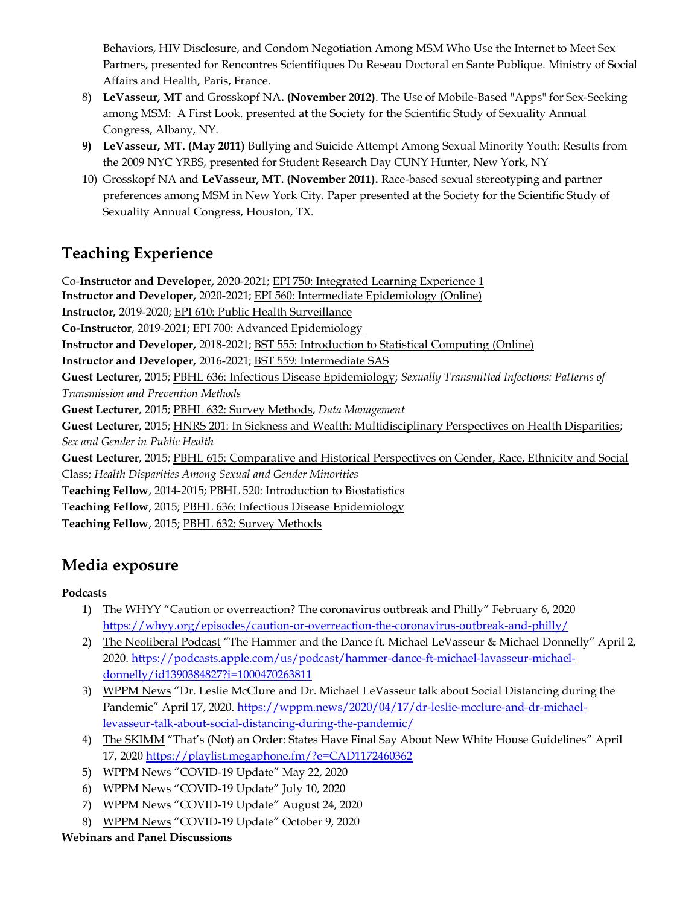Behaviors, HIV Disclosure, and Condom Negotiation Among MSM Who Use the Internet to Meet Sex Partners, presented for Rencontres Scientifiques Du Reseau Doctoral en Sante Publique. Ministry of Social Affairs and Health, Paris, France.

- 8) **LeVasseur, MT** and Grosskopf NA**. (November 2012)**. The Use of Mobile-Based "Apps" for Sex-Seeking among MSM: A First Look. presented at the Society for the Scientific Study of Sexuality Annual Congress, Albany, NY.
- **9) LeVasseur, MT. (May 2011)** Bullying and Suicide Attempt Among Sexual Minority Youth: Results from the 2009 NYC YRBS, presented for Student Research Day CUNY Hunter, New York, NY
- 10) Grosskopf NA and **LeVasseur, MT. (November 2011).** Race-based sexual stereotyping and partner preferences among MSM in New York City. Paper presented at the Society for the Scientific Study of Sexuality Annual Congress, Houston, TX.

## **Teaching Experience**

Co-**Instructor and Developer,** 2020-2021; EPI 750: Integrated Learning Experience 1 **Instructor and Developer,** 2020-2021; EPI 560: Intermediate Epidemiology (Online) **Instructor,** 2019-2020; EPI 610: Public Health Surveillance **Co-Instructor**, 2019-2021; EPI 700: Advanced Epidemiology **Instructor and Developer,** 2018-2021; BST 555: Introduction to Statistical Computing (Online) **Instructor and Developer,** 2016-2021; BST 559: Intermediate SAS **Guest Lecturer**, 2015; PBHL 636: Infectious Disease Epidemiology; *Sexually Transmitted Infections: Patterns of Transmission and Prevention Methods*  **Guest Lecturer**, 2015; PBHL 632: Survey Methods, *Data Management* **Guest Lecturer**, 2015; HNRS 201: In Sickness and Wealth: Multidisciplinary Perspectives on Health Disparities; *Sex and Gender in Public Health* **Guest Lecturer**, 2015; PBHL 615: Comparative and Historical Perspectives on Gender, Race, Ethnicity and Social Class; *Health Disparities Among Sexual and Gender Minorities* **Teaching Fellow**, 2014-2015; PBHL 520: Introduction to Biostatistics **Teaching Fellow**, 2015; PBHL 636: Infectious Disease Epidemiology **Teaching Fellow**, 2015; PBHL 632: Survey Methods

## **Media exposure**

### **Podcasts**

- 1) The WHYY "Caution or overreaction? The coronavirus outbreak and Philly" February 6, 2020 <https://whyy.org/episodes/caution-or-overreaction-the-coronavirus-outbreak-and-philly/>
- 2) The Neoliberal Podcast "The Hammer and the Dance ft. Michael LeVasseur & Michael Donnelly" April 2, 2020. [https://podcasts.apple.com/us/podcast/hammer-dance-ft-michael-lavasseur-michael](https://podcasts.apple.com/us/podcast/hammer-dance-ft-michael-lavasseur-michael-donnelly/id1390384827?i=1000470263811)[donnelly/id1390384827?i=1000470263811](https://podcasts.apple.com/us/podcast/hammer-dance-ft-michael-lavasseur-michael-donnelly/id1390384827?i=1000470263811)
- 3) WPPM News "Dr. Leslie McClure and Dr. Michael LeVasseur talk about Social Distancing during the Pandemic" April 17, 2020. [https://wppm.news/2020/04/17/dr-leslie-mcclure-and-dr-michael](https://wppm.news/2020/04/17/dr-leslie-mcclure-and-dr-michael-levasseur-talk-about-social-distancing-during-the-pandemic/)[levasseur-talk-about-social-distancing-during-the-pandemic/](https://wppm.news/2020/04/17/dr-leslie-mcclure-and-dr-michael-levasseur-talk-about-social-distancing-during-the-pandemic/)
- 4) The SKIMM "That's (Not) an Order: States Have Final Say About New White House Guidelines" April 17, 202[0 https://playlist.megaphone.fm/?e=CAD1172460362](https://playlist.megaphone.fm/?e=CAD1172460362)
- 5) WPPM News "COVID-19 Update" May 22, 2020
- 6) WPPM News "COVID-19 Update" July 10, 2020
- 7) WPPM News "COVID-19 Update" August 24, 2020
- 8) WPPM News "COVID-19 Update" October 9, 2020

### **Webinars and Panel Discussions**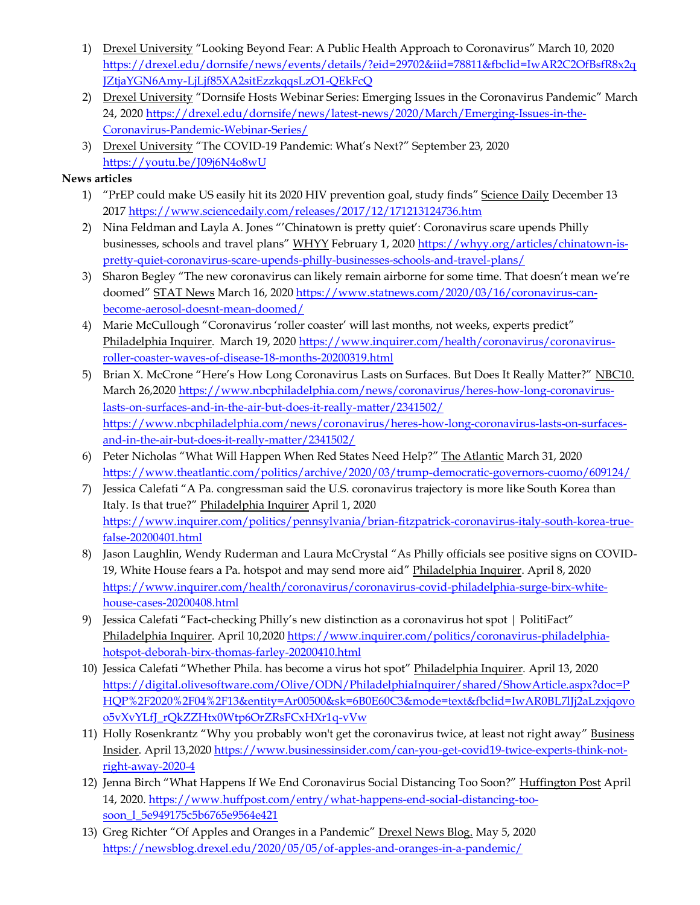- 1) Drexel University "Looking Beyond Fear: A Public Health Approach to Coronavirus" March 10, 2020 [https://drexel.edu/dornsife/news/events/details/?eid=29702&iid=78811&fbclid=IwAR2C2OfBsfR8x2q](https://drexel.edu/dornsife/news/events/details/?eid=29702&iid=78811&fbclid=IwAR2C2OfBsfR8x2qJZtjaYGN6Amy-LjLjf85XA2sitEzzkqqsLzO1-QEkFcQ) [JZtjaYGN6Amy-LjLjf85XA2sitEzzkqqsLzO1-QEkFcQ](https://drexel.edu/dornsife/news/events/details/?eid=29702&iid=78811&fbclid=IwAR2C2OfBsfR8x2qJZtjaYGN6Amy-LjLjf85XA2sitEzzkqqsLzO1-QEkFcQ)
- 2) Drexel University "Dornsife Hosts Webinar Series: Emerging Issues in the Coronavirus Pandemic" March 24, 202[0 https://drexel.edu/dornsife/news/latest-news/2020/March/Emerging-Issues-in-the-](https://drexel.edu/dornsife/news/latest-news/2020/March/Emerging-Issues-in-the-Coronavirus-Pandemic-Webinar-Series/)[Coronavirus-Pandemic-Webinar-Series/](https://drexel.edu/dornsife/news/latest-news/2020/March/Emerging-Issues-in-the-Coronavirus-Pandemic-Webinar-Series/)
- 3) Drexel University "The COVID-19 Pandemic: What's Next?" September 23, 2020 [https://youtu.be/J09j6N4o8wU](https://nam01.safelinks.protection.outlook.com/?url=https%3A%2F%2Fyoutu.be%2FJ09j6N4o8wU&data=02%7C01%7Cmtl55%40drexel.edu%7Cd71eba87184c4971bc9508d86007fb50%7C3664e6fa47bd45a696708c4f080f8ca6%7C0%7C0%7C637364934676979158&sdata=P3gELhLsxNfa%2B3DY4oSMhuxy7gHOJEksEH9eVBwcwz4%3D&reserved=0)

#### **News articles**

- 1) "PrEP could make US easily hit its 2020 HIV prevention goal, study finds" Science Daily December 13 201[7 https://www.sciencedaily.com/releases/2017/12/171213124736.htm](https://www.sciencedaily.com/releases/2017/12/171213124736.htm)
- 2) Nina Feldman and Layla A. Jones "'Chinatown is pretty quiet': Coronavirus scare upends Philly businesses, schools and travel plans" WHYY February 1, 202[0 https://whyy.org/articles/chinatown-is](https://whyy.org/articles/chinatown-is-pretty-quiet-coronavirus-scare-upends-philly-businesses-schools-and-travel-plans/)[pretty-quiet-coronavirus-scare-upends-philly-businesses-schools-and-travel-plans/](https://whyy.org/articles/chinatown-is-pretty-quiet-coronavirus-scare-upends-philly-businesses-schools-and-travel-plans/)
- 3) Sharon Begley "The new coronavirus can likely remain airborne for some time. That doesn't mean we're doomed" STAT News March 16, 2020 [https://www.statnews.com/2020/03/16/coronavirus-can](https://www.statnews.com/2020/03/16/coronavirus-can-become-aerosol-doesnt-mean-doomed/)[become-aerosol-doesnt-mean-doomed/](https://www.statnews.com/2020/03/16/coronavirus-can-become-aerosol-doesnt-mean-doomed/)
- 4) Marie McCullough "Coronavirus 'roller coaster' will last months, not weeks, experts predict" Philadelphia Inquirer. March 19, 202[0 https://www.inquirer.com/health/coronavirus/coronavirus](https://www.inquirer.com/health/coronavirus/coronavirus-roller-coaster-waves-of-disease-18-months-20200319.html)[roller-coaster-waves-of-disease-18-months-20200319.html](https://www.inquirer.com/health/coronavirus/coronavirus-roller-coaster-waves-of-disease-18-months-20200319.html)
- 5) Brian X. McCrone "Here's How Long Coronavirus Lasts on Surfaces. But Does It Really Matter?" NBC10. March 26,2020 [https://www.nbcphiladelphia.com/news/coronavirus/heres-how-long-coronavirus](https://www.nbcphiladelphia.com/news/coronavirus/heres-how-long-coronavirus-lasts-on-surfaces-and-in-the-air-but-does-it-really-matter/2341502/)[lasts-on-surfaces-and-in-the-air-but-does-it-really-matter/2341502/](https://www.nbcphiladelphia.com/news/coronavirus/heres-how-long-coronavirus-lasts-on-surfaces-and-in-the-air-but-does-it-really-matter/2341502/) [https://www.nbcphiladelphia.com/news/coronavirus/heres-how-long-coronavirus-lasts-on-surfaces](https://www.nbcphiladelphia.com/news/coronavirus/heres-how-long-coronavirus-lasts-on-surfaces-and-in-the-air-but-does-it-really-matter/2341502/)[and-in-the-air-but-does-it-really-matter/2341502/](https://www.nbcphiladelphia.com/news/coronavirus/heres-how-long-coronavirus-lasts-on-surfaces-and-in-the-air-but-does-it-really-matter/2341502/)
- 6) Peter Nicholas "What Will Happen When Red States Need Help?" The Atlantic March 31, 2020 <https://www.theatlantic.com/politics/archive/2020/03/trump-democratic-governors-cuomo/609124/>
- 7) Jessica Calefati "A Pa. congressman said the U.S. coronavirus trajectory is more like South Korea than Italy. Is that true?" Philadelphia Inquirer April 1, 2020 [https://www.inquirer.com/politics/pennsylvania/brian-fitzpatrick-coronavirus-italy-south-korea-true](https://www.inquirer.com/politics/pennsylvania/brian-fitzpatrick-coronavirus-italy-south-korea-true-false-20200401.html)[false-20200401.html](https://www.inquirer.com/politics/pennsylvania/brian-fitzpatrick-coronavirus-italy-south-korea-true-false-20200401.html)
- 8) Jason Laughlin, Wendy Ruderman and Laura McCrystal "As Philly officials see positive signs on COVID-19, White House fears a Pa. hotspot and may send more aid" Philadelphia Inquirer. April 8, 2020 [https://www.inquirer.com/health/coronavirus/coronavirus-covid-philadelphia-surge-birx-white](https://www.inquirer.com/health/coronavirus/coronavirus-covid-philadelphia-surge-birx-white-house-cases-20200408.html)[house-cases-20200408.html](https://www.inquirer.com/health/coronavirus/coronavirus-covid-philadelphia-surge-birx-white-house-cases-20200408.html)
- 9) Jessica Calefati "Fact-checking Philly's new distinction as a coronavirus hot spot | PolitiFact" Philadelphia Inquirer. April 10,202[0 https://www.inquirer.com/politics/coronavirus-philadelphia](https://www.inquirer.com/politics/coronavirus-philadelphia-hotspot-deborah-birx-thomas-farley-20200410.html)[hotspot-deborah-birx-thomas-farley-20200410.html](https://www.inquirer.com/politics/coronavirus-philadelphia-hotspot-deborah-birx-thomas-farley-20200410.html)
- 10) Jessica Calefati "Whether Phila. has become a virus hot spot" Philadelphia Inquirer. April 13, 2020 [https://digital.olivesoftware.com/Olive/ODN/PhiladelphiaInquirer/shared/ShowArticle.aspx?doc=P](https://digital.olivesoftware.com/Olive/ODN/PhiladelphiaInquirer/shared/ShowArticle.aspx?doc=PHQP%2F2020%2F04%2F13&entity=Ar00500&sk=6B0E60C3&mode=text&fbclid=IwAR0BL7lJj2aLzxjqovoo5vXvYLfJ_rQkZZHtx0Wtp6OrZRsFCxHXr1q-vVw) [HQP%2F2020%2F04%2F13&entity=Ar00500&sk=6B0E60C3&mode=text&fbclid=IwAR0BL7lJj2aLzxjqovo](https://digital.olivesoftware.com/Olive/ODN/PhiladelphiaInquirer/shared/ShowArticle.aspx?doc=PHQP%2F2020%2F04%2F13&entity=Ar00500&sk=6B0E60C3&mode=text&fbclid=IwAR0BL7lJj2aLzxjqovoo5vXvYLfJ_rQkZZHtx0Wtp6OrZRsFCxHXr1q-vVw) [o5vXvYLfJ\\_rQkZZHtx0Wtp6OrZRsFCxHXr1q-vVw](https://digital.olivesoftware.com/Olive/ODN/PhiladelphiaInquirer/shared/ShowArticle.aspx?doc=PHQP%2F2020%2F04%2F13&entity=Ar00500&sk=6B0E60C3&mode=text&fbclid=IwAR0BL7lJj2aLzxjqovoo5vXvYLfJ_rQkZZHtx0Wtp6OrZRsFCxHXr1q-vVw)
- 11) Holly Rosenkrantz "Why you probably won't get the coronavirus twice, at least not right away" Business Insider. April 13,202[0 https://www.businessinsider.com/can-you-get-covid19-twice-experts-think-not](https://www.businessinsider.com/can-you-get-covid19-twice-experts-think-not-right-away-2020-4)[right-away-2020-4](https://www.businessinsider.com/can-you-get-covid19-twice-experts-think-not-right-away-2020-4)
- 12) Jenna Birch "What Happens If We End Coronavirus Social Distancing Too Soon?" Huffington Post April 14, 2020. [https://www.huffpost.com/entry/what-happens-end-social-distancing-too](https://www.huffpost.com/entry/what-happens-end-social-distancing-too-soon_l_5e949175c5b6765e9564e421)[soon\\_l\\_5e949175c5b6765e9564e421](https://www.huffpost.com/entry/what-happens-end-social-distancing-too-soon_l_5e949175c5b6765e9564e421)
- 13) Greg Richter "Of Apples and Oranges in a Pandemic" Drexel News Blog. May 5, 2020 <https://newsblog.drexel.edu/2020/05/05/of-apples-and-oranges-in-a-pandemic/>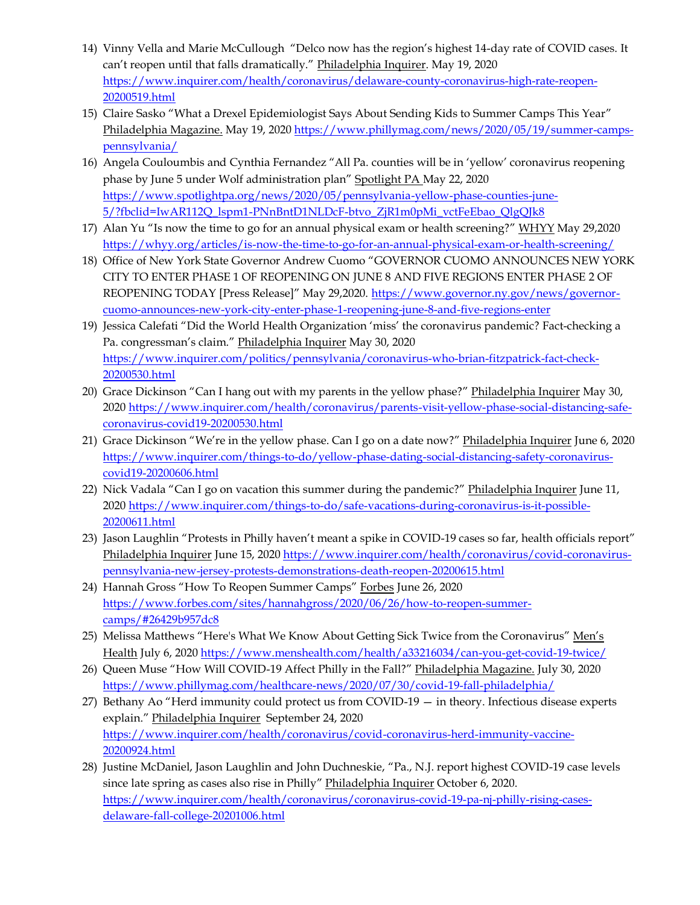- 14) Vinny Vella and Marie McCullough "Delco now has the region's highest 14-day rate of COVID cases. It can't reopen until that falls dramatically." Philadelphia Inquirer. May 19, 2020 [https://www.inquirer.com/health/coronavirus/delaware-county-coronavirus-high-rate-reopen-](https://www.inquirer.com/health/coronavirus/delaware-county-coronavirus-high-rate-reopen-20200519.html)[20200519.html](https://www.inquirer.com/health/coronavirus/delaware-county-coronavirus-high-rate-reopen-20200519.html)
- 15) Claire Sasko "What a Drexel Epidemiologist Says About Sending Kids to Summer Camps This Year" Philadelphia Magazine. May 19, 202[0 https://www.phillymag.com/news/2020/05/19/summer-camps](https://www.phillymag.com/news/2020/05/19/summer-camps-pennsylvania/)[pennsylvania/](https://www.phillymag.com/news/2020/05/19/summer-camps-pennsylvania/)
- 16) Angela Couloumbis and Cynthia Fernandez "All Pa. counties will be in 'yellow' coronavirus reopening phase by June 5 under Wolf administration plan" Spotlight PA May 22, 2020 [https://www.spotlightpa.org/news/2020/05/pennsylvania-yellow-phase-counties-june-](https://www.spotlightpa.org/news/2020/05/pennsylvania-yellow-phase-counties-june-5/?fbclid=IwAR112Q_lspm1-PNnBntD1NLDcF-btvo_ZjR1m0pMi_vctFeEbao_QlgQJk8)[5/?fbclid=IwAR112Q\\_lspm1-PNnBntD1NLDcF-btvo\\_ZjR1m0pMi\\_vctFeEbao\\_QlgQJk8](https://www.spotlightpa.org/news/2020/05/pennsylvania-yellow-phase-counties-june-5/?fbclid=IwAR112Q_lspm1-PNnBntD1NLDcF-btvo_ZjR1m0pMi_vctFeEbao_QlgQJk8)
- 17) Alan Yu "Is now the time to go for an annual physical exam or health screening?" WHYY May 29,2020 <https://whyy.org/articles/is-now-the-time-to-go-for-an-annual-physical-exam-or-health-screening/>
- 18) Office of New York State Governor Andrew Cuomo "GOVERNOR CUOMO ANNOUNCES NEW YORK CITY TO ENTER PHASE 1 OF REOPENING ON JUNE 8 AND FIVE REGIONS ENTER PHASE 2 OF REOPENING TODAY [Press Release]" May 29,2020. [https://www.governor.ny.gov/news/governor](https://www.governor.ny.gov/news/governor-cuomo-announces-new-york-city-enter-phase-1-reopening-june-8-and-five-regions-enter)[cuomo-announces-new-york-city-enter-phase-1-reopening-june-8-and-five-regions-enter](https://www.governor.ny.gov/news/governor-cuomo-announces-new-york-city-enter-phase-1-reopening-june-8-and-five-regions-enter)
- 19) Jessica Calefati "Did the World Health Organization 'miss' the coronavirus pandemic? Fact-checking a Pa. congressman's claim." Philadelphia Inquirer May 30, 2020 [https://www.inquirer.com/politics/pennsylvania/coronavirus-who-brian-fitzpatrick-fact-check-](https://www.inquirer.com/politics/pennsylvania/coronavirus-who-brian-fitzpatrick-fact-check-20200530.html)[20200530.html](https://www.inquirer.com/politics/pennsylvania/coronavirus-who-brian-fitzpatrick-fact-check-20200530.html)
- 20) Grace Dickinson "Can I hang out with my parents in the yellow phase?" Philadelphia Inquirer May 30, 202[0 https://www.inquirer.com/health/coronavirus/parents-visit-yellow-phase-social-distancing-safe](https://www.inquirer.com/health/coronavirus/parents-visit-yellow-phase-social-distancing-safe-coronavirus-covid19-20200530.html)[coronavirus-covid19-20200530.html](https://www.inquirer.com/health/coronavirus/parents-visit-yellow-phase-social-distancing-safe-coronavirus-covid19-20200530.html)
- 21) Grace Dickinson "We're in the yellow phase. Can I go on a date now?" Philadelphia Inquirer June 6, 2020 [https://www.inquirer.com/things-to-do/yellow-phase-dating-social-distancing-safety-coronavirus](https://www.inquirer.com/things-to-do/yellow-phase-dating-social-distancing-safety-coronavirus-covid19-20200606.html)[covid19-20200606.html](https://www.inquirer.com/things-to-do/yellow-phase-dating-social-distancing-safety-coronavirus-covid19-20200606.html)
- 22) Nick Vadala "Can I go on vacation this summer during the pandemic?" Philadelphia Inquirer June 11, 202[0 https://www.inquirer.com/things-to-do/safe-vacations-during-coronavirus-is-it-possible-](https://www.inquirer.com/things-to-do/safe-vacations-during-coronavirus-is-it-possible-20200611.html)[20200611.html](https://www.inquirer.com/things-to-do/safe-vacations-during-coronavirus-is-it-possible-20200611.html)
- 23) Jason Laughlin "Protests in Philly haven't meant a spike in COVID-19 cases so far, health officials report" Philadelphia Inquirer June 15, 202[0 https://www.inquirer.com/health/coronavirus/covid-coronavirus](https://www.inquirer.com/health/coronavirus/covid-coronavirus-pennsylvania-new-jersey-protests-demonstrations-death-reopen-20200615.html)[pennsylvania-new-jersey-protests-demonstrations-death-reopen-20200615.html](https://www.inquirer.com/health/coronavirus/covid-coronavirus-pennsylvania-new-jersey-protests-demonstrations-death-reopen-20200615.html)
- 24) Hannah Gross "How To Reopen Summer Camps" Forbes June 26, 2020 [https://www.forbes.com/sites/hannahgross/2020/06/26/how-to-reopen-summer](https://www.forbes.com/sites/hannahgross/2020/06/26/how-to-reopen-summer-camps/#26429b957dc8)[camps/#26429b957dc8](https://www.forbes.com/sites/hannahgross/2020/06/26/how-to-reopen-summer-camps/#26429b957dc8)
- 25) Melissa Matthews "Here's What We Know About Getting Sick Twice from the Coronavirus" Men's Health July 6, 202[0 https://www.menshealth.com/health/a33216034/can-you-get-covid-19-twice/](https://www.menshealth.com/health/a33216034/can-you-get-covid-19-twice/)
- 26) Queen Muse "How Will COVID-19 Affect Philly in the Fall?" Philadelphia Magazine. July 30, 2020 <https://www.phillymag.com/healthcare-news/2020/07/30/covid-19-fall-philadelphia/>
- 27) Bethany Ao "Herd immunity could protect us from COVID-19 in theory. Infectious disease experts explain." Philadelphia Inquirer September 24, 2020 [https://www.inquirer.com/health/coronavirus/covid-coronavirus-herd-immunity-vaccine-](https://www.inquirer.com/health/coronavirus/covid-coronavirus-herd-immunity-vaccine-20200924.html)[20200924.html](https://www.inquirer.com/health/coronavirus/covid-coronavirus-herd-immunity-vaccine-20200924.html)
- 28) Justine McDaniel, Jason Laughlin and John Duchneskie, "Pa., N.J. report highest COVID-19 case levels since late spring as cases also rise in Philly" Philadelphia Inquirer October 6, 2020. [https://www.inquirer.com/health/coronavirus/coronavirus-covid-19-pa-nj-philly-rising-cases](https://www.inquirer.com/health/coronavirus/coronavirus-covid-19-pa-nj-philly-rising-cases-delaware-fall-college-20201006.html)[delaware-fall-college-20201006.html](https://www.inquirer.com/health/coronavirus/coronavirus-covid-19-pa-nj-philly-rising-cases-delaware-fall-college-20201006.html)